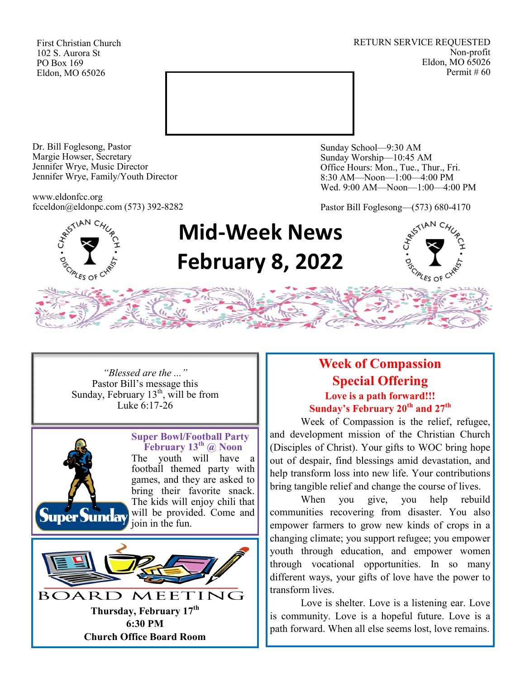First Christian Church 102 S. Aurora St PO Box 169 Eldon, MO 65026

RETURN SERVICE REQUESTED Non-profit Eldon, MO 65026 Permit # 60



Dr. Bill Foglesong, Pastor Margie Howser, Secretary Jennifer Wrye, Music Director Jennifer Wrye, Family/Youth Director

www.eldonfcc.org fcceldon@eldonpc.com (573) 392-8282 Sunday School—9:30 AM Sunday Worship—10:45 AM Office Hours: Mon., Tue., Thur., Fri. 8:30 AM—Noon—1:00—4:00 PM Wed. 9:00 AM—Noon—1:00—4:00 PM

Pastor Bill Foglesong—(573) 680-4170



## **Mid-Week News February 8, 2022**



*"Blessed are the ..."* Pastor Bill's message this Sunday, February  $13<sup>th</sup>$ , will be from Luke 6:17-26



**Super Bowl/Football Party February 13th @ Noon** The youth will have a football themed party with games, and they are asked to bring their favorite snack. The kids will enjoy chili that will be provided. Come and join in the fun.



### **Week of Compassion Special Offering Love is a path forward!!! Sunday's February 20th and 27th**

 Week of Compassion is the relief, refugee, and development mission of the Christian Church (Disciples of Christ). Your gifts to WOC bring hope out of despair, find blessings amid devastation, and help transform loss into new life. Your contributions bring tangible relief and change the course of lives.

When you give, you help rebuild communities recovering from disaster. You also empower farmers to grow new kinds of crops in a changing climate; you support refugee; you empower youth through education, and empower women through vocational opportunities. In so many different ways, your gifts of love have the power to transform lives.

Love is shelter. Love is a listening ear. Love is community. Love is a hopeful future. Love is a path forward. When all else seems lost, love remains.